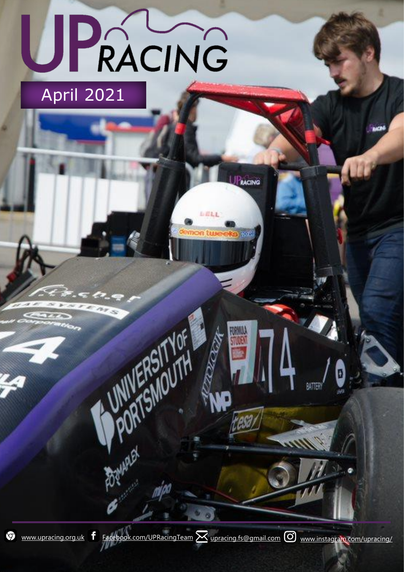# UPACING April 2021

**PORTSMOUTH** 

**Baywhat** 

 $\circledcirc$ 

[www.upracing.org.uk](file:///C:/Users/Summer/Downloads/www.upracing.org.uk)  $f$  [Facebook.com/UPRacingTeam](https://www.facebook.com/UPRacingTeam/)  $\boxtimes$  [upracing.fs@gmail.com](mailto:upracing.fs@gmail.com)  $\odot$  [www.instagram.com/upracing/](http://www.instagram.com/upracing/)

**RADIO** 

tese,

PEACING

BATTER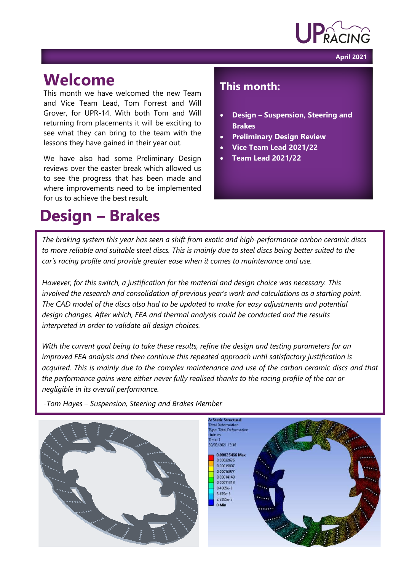

**April 2021**

#### **Welcome**

This month we have welcomed the new Team and Vice Team Lead, Tom Forrest and Will Grover, for UPR-14. With both Tom and Will returning from placements it will be exciting to see what they can bring to the team with the lessons they have gained in their year out.

We have also had some Preliminary Design reviews over the easter break which allowed us to see the progress that has been made and where improvements need to be implemented for us to achieve the best result.

### **Design – Brakes**

#### **This month:**

- **Design – Suspension, Steering and Brakes**
- **Preliminary Design Review**
- **Vice Team Lead 2021/22**
- **Team Lead 2021/22**

*The braking system this year has seen a shift from exotic and high-performance carbon ceramic discs to more reliable and suitable steel discs. This is mainly due to steel discs being better suited to the car's racing profile and provide greater ease when it comes to maintenance and use.*

*However, for this switch, a justification for the material and design choice was necessary. This involved the research and consolidation of previous year's work and calculations as a starting point. The CAD model of the discs also had to be updated to make for easy adjustments and potential design changes. After which, FEA and thermal analysis could be conducted and the results interpreted in order to validate all design choices.*

*With the current goal being to take these results, refine the design and testing parameters for an improved FEA analysis and then continue this repeated approach until satisfactory justification is acquired. This is mainly due to the complex maintenance and use of the carbon ceramic discs and that the performance gains were either never fully realised thanks to the racing profile of the car or negligible in its overall performance.*



*-Tom Hayes – Suspension, Steering and Brakes Member*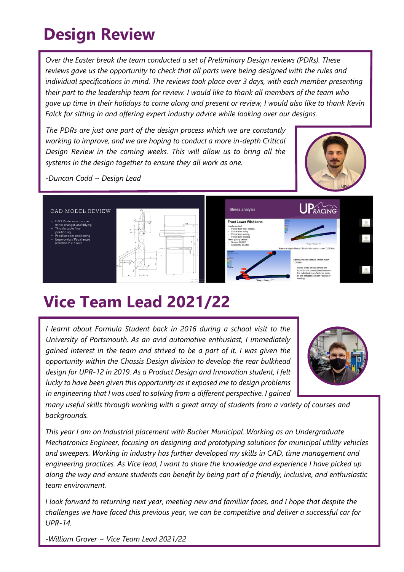## **Design Review**

*Over the Easter break the team conducted a set of Preliminary Design reviews (PDRs). These reviews gave us the opportunity to check that all parts were being designed with the rules and individual specifications in mind. The reviews took place over 3 days, with each member presenting their part to the leadership team for review. I would like to thank all members of the team who gave up time in their holidays to come along and present or review, I would also like to thank Kevin Falck for sitting in and offering expert industry advice while looking over our designs.*

*The PDRs are just one part of the design process which we are constantly working to improve, and we are hoping to conduct a more in-depth Critical Design Review in the coming weeks. This will allow us to bring all the systems in the design together to ensure they all work as one.*



*-Duncan Codd ~ Design Lead*



#### **Vice Team Lead 2021/22**

*I learnt about Formula Student back in 2016 during a school visit to the University of Portsmouth. As an avid automotive enthusiast, I immediately gained interest in the team and strived to be a part of it. I was given the opportunity within the Chassis Design division to develop the rear bulkhead design for UPR-12 in 2019. As a Product Design and Innovation student, I felt lucky to have been given this opportunity as it exposed me to design problems in engineering that I was used to solving from a different perspective. I gained* 



*many useful skills through working with a great array of students from a variety of courses and backgrounds.*

*This year I am on Industrial placement with Bucher Municipal. Working as an Undergraduate Mechatronics Engineer, focusing on designing and prototyping solutions for municipal utility vehicles and sweepers. Working in industry has further developed my skills in CAD, time management and engineering practices. As Vice lead, I want to share the knowledge and experience I have picked up along the way and ensure students can benefit by being part of a friendly, inclusive, and enthusiastic team environment.* 

*I look forward to returning next year, meeting new and familiar faces, and I hope that despite the challenges we have faced this previous year, we can be competitive and deliver a successful car for UPR-14.*

*-William Grover ~ Vice Team Lead 2021/22*